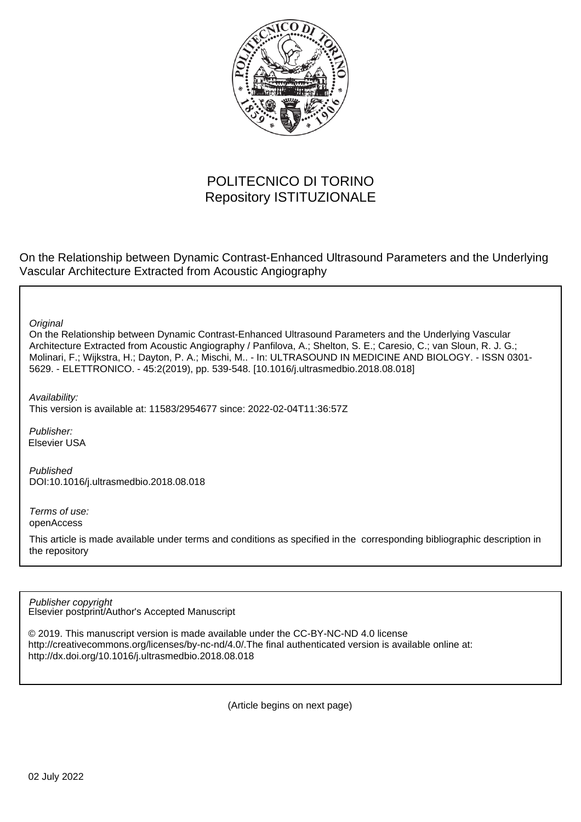

# POLITECNICO DI TORINO Repository ISTITUZIONALE

On the Relationship between Dynamic Contrast-Enhanced Ultrasound Parameters and the Underlying Vascular Architecture Extracted from Acoustic Angiography

**Original** 

On the Relationship between Dynamic Contrast-Enhanced Ultrasound Parameters and the Underlying Vascular Architecture Extracted from Acoustic Angiography / Panfilova, A.; Shelton, S. E.; Caresio, C.; van Sloun, R. J. G.; Molinari, F.; Wijkstra, H.; Dayton, P. A.; Mischi, M.. - In: ULTRASOUND IN MEDICINE AND BIOLOGY. - ISSN 0301- 5629. - ELETTRONICO. - 45:2(2019), pp. 539-548. [10.1016/j.ultrasmedbio.2018.08.018]

Availability:

This version is available at: 11583/2954677 since: 2022-02-04T11:36:57Z

Publisher: Elsevier USA

Published DOI:10.1016/j.ultrasmedbio.2018.08.018

Terms of use: openAccess

This article is made available under terms and conditions as specified in the corresponding bibliographic description in the repository

Elsevier postprint/Author's Accepted Manuscript Publisher copyright

© 2019. This manuscript version is made available under the CC-BY-NC-ND 4.0 license http://creativecommons.org/licenses/by-nc-nd/4.0/.The final authenticated version is available online at: http://dx.doi.org/10.1016/j.ultrasmedbio.2018.08.018

(Article begins on next page)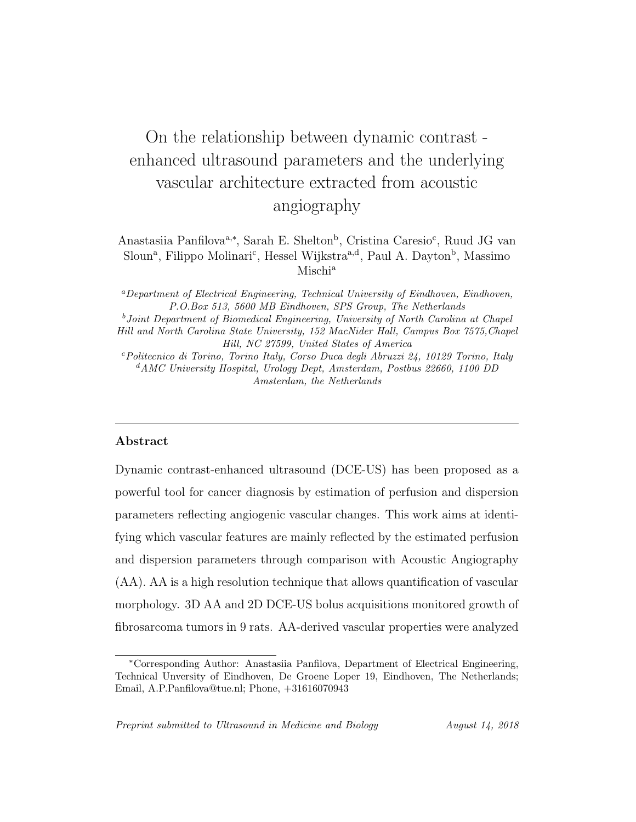# On the relationship between dynamic contrast enhanced ultrasound parameters and the underlying vascular architecture extracted from acoustic angiography

Anastasiia Panfilova<sup>a,∗</sup>, Sarah E. Shelton<sup>b</sup>, Cristina Caresio<sup>c</sup>, Ruud JG van Sloun<sup>a</sup>, Filippo Molinari<sup>c</sup>, Hessel Wijkstra<sup>a,d</sup>, Paul A. Dayton<sup>b</sup>, Massimo Mischi<sup>a</sup>

<sup>a</sup>Department of Electrical Engineering, Technical University of Eindhoven, Eindhoven, P.O.Box 513, 5600 MB Eindhoven, SPS Group, The Netherlands

<sup>b</sup>Joint Department of Biomedical Engineering, University of North Carolina at Chapel Hill and North Carolina State University, 152 MacNider Hall, Campus Box 7575,Chapel Hill, NC 27599, United States of America

<sup>c</sup>Politecnico di Torino, Torino Italy, Corso Duca degli Abruzzi 24, 10129 Torino, Italy  $d$ AMC University Hospital, Urology Dept, Amsterdam, Postbus 22660, 1100 DD Amsterdam, the Netherlands

# Abstract

Dynamic contrast-enhanced ultrasound (DCE-US) has been proposed as a powerful tool for cancer diagnosis by estimation of perfusion and dispersion parameters reflecting angiogenic vascular changes. This work aims at identifying which vascular features are mainly reflected by the estimated perfusion and dispersion parameters through comparison with Acoustic Angiography (AA). AA is a high resolution technique that allows quantification of vascular morphology. 3D AA and 2D DCE-US bolus acquisitions monitored growth of fibrosarcoma tumors in 9 rats. AA-derived vascular properties were analyzed

<sup>∗</sup>Corresponding Author: Anastasiia Panfilova, Department of Electrical Engineering, Technical Unversity of Eindhoven, De Groene Loper 19, Eindhoven, The Netherlands; Email, A.P.Panfilova@tue.nl; Phone, +31616070943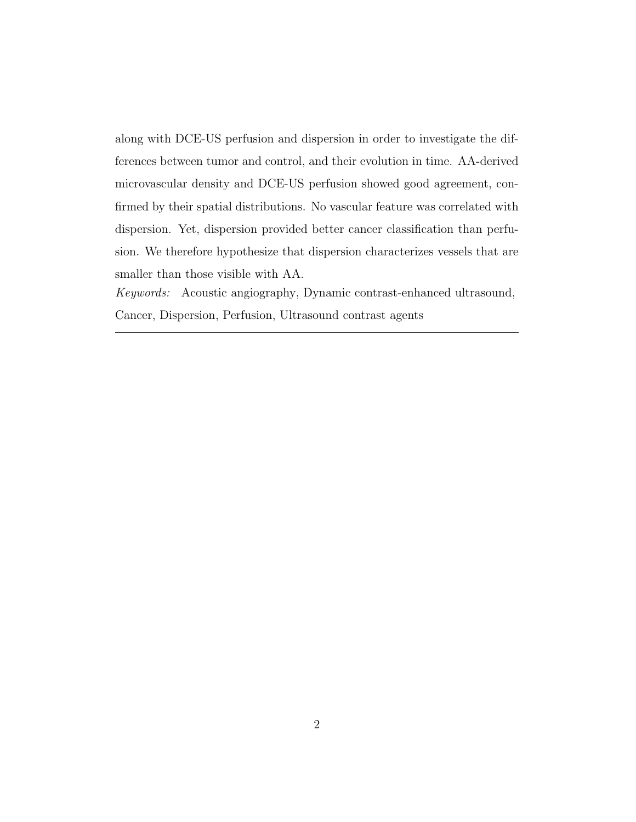along with DCE-US perfusion and dispersion in order to investigate the differences between tumor and control, and their evolution in time. AA-derived microvascular density and DCE-US perfusion showed good agreement, confirmed by their spatial distributions. No vascular feature was correlated with dispersion. Yet, dispersion provided better cancer classification than perfusion. We therefore hypothesize that dispersion characterizes vessels that are smaller than those visible with AA.

Keywords: Acoustic angiography, Dynamic contrast-enhanced ultrasound, Cancer, Dispersion, Perfusion, Ultrasound contrast agents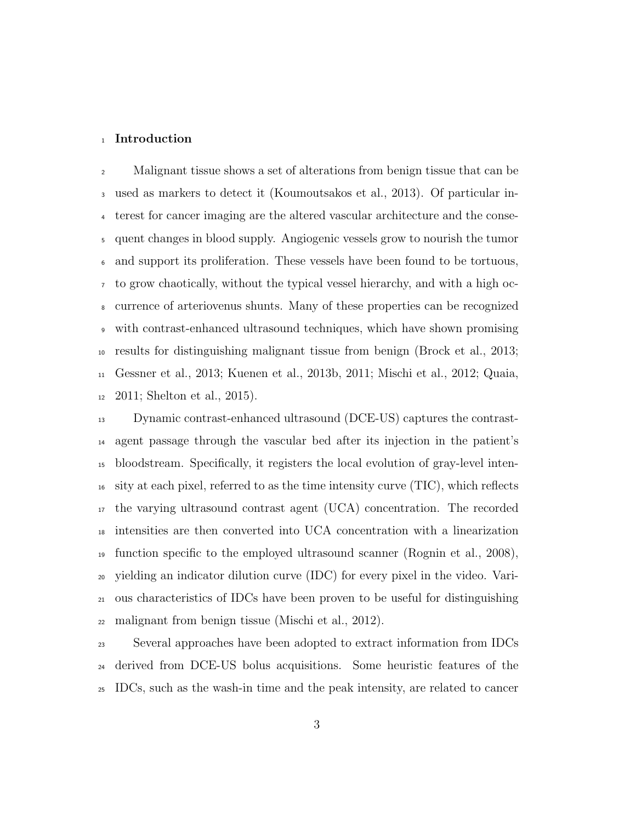#### Introduction

Malignant tissue shows a set of alterations from benign tissue that can be used as markers to detect it (Koumoutsakos et al., 2013). Of particular in- terest for cancer imaging are the altered vascular architecture and the conse- quent changes in blood supply. Angiogenic vessels grow to nourish the tumor and support its proliferation. These vessels have been found to be tortuous, to grow chaotically, without the typical vessel hierarchy, and with a high oc- currence of arteriovenus shunts. Many of these properties can be recognized with contrast-enhanced ultrasound techniques, which have shown promising results for distinguishing malignant tissue from benign (Brock et al., 2013; Gessner et al., 2013; Kuenen et al., 2013b, 2011; Mischi et al., 2012; Quaia, 2011; Shelton et al., 2015).

 Dynamic contrast-enhanced ultrasound (DCE-US) captures the contrast- agent passage through the vascular bed after its injection in the patient's bloodstream. Specifically, it registers the local evolution of gray-level inten- sity at each pixel, referred to as the time intensity curve (TIC), which reflects the varying ultrasound contrast agent (UCA) concentration. The recorded intensities are then converted into UCA concentration with a linearization function specific to the employed ultrasound scanner (Rognin et al., 2008), yielding an indicator dilution curve (IDC) for every pixel in the video. Vari- ous characteristics of IDCs have been proven to be useful for distinguishing malignant from benign tissue (Mischi et al., 2012).

 Several approaches have been adopted to extract information from IDCs derived from DCE-US bolus acquisitions. Some heuristic features of the IDCs, such as the wash-in time and the peak intensity, are related to cancer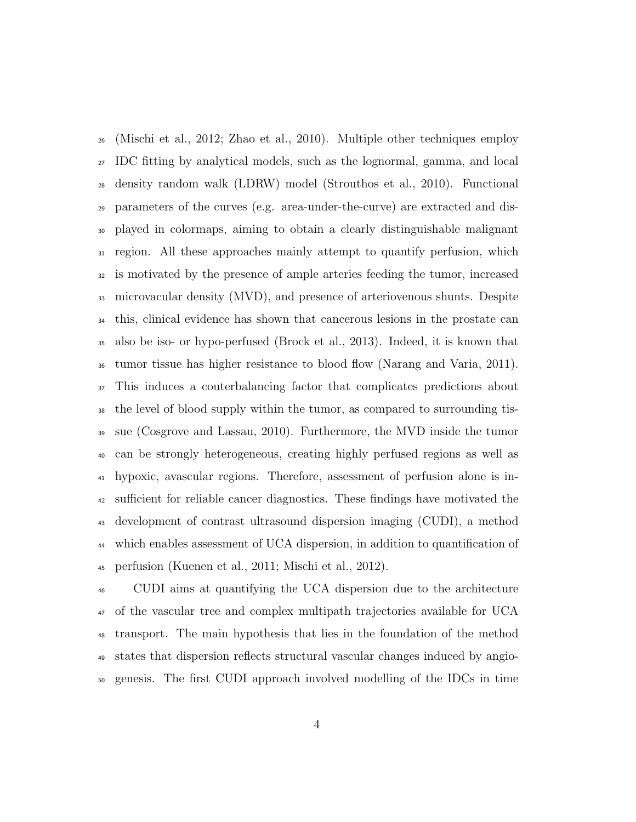(Mischi et al., 2012; Zhao et al., 2010). Multiple other techniques employ IDC fitting by analytical models, such as the lognormal, gamma, and local density random walk (LDRW) model (Strouthos et al., 2010). Functional parameters of the curves (e.g. area-under-the-curve) are extracted and dis- played in colormaps, aiming to obtain a clearly distinguishable malignant region. All these approaches mainly attempt to quantify perfusion, which is motivated by the presence of ample arteries feeding the tumor, increased microvacular density (MVD), and presence of arteriovenous shunts. Despite this, clinical evidence has shown that cancerous lesions in the prostate can also be iso- or hypo-perfused (Brock et al., 2013). Indeed, it is known that tumor tissue has higher resistance to blood flow (Narang and Varia, 2011). This induces a couterbalancing factor that complicates predictions about the level of blood supply within the tumor, as compared to surrounding tis- sue (Cosgrove and Lassau, 2010). Furthermore, the MVD inside the tumor can be strongly heterogeneous, creating highly perfused regions as well as hypoxic, avascular regions. Therefore, assessment of perfusion alone is in- sufficient for reliable cancer diagnostics. These findings have motivated the development of contrast ultrasound dispersion imaging (CUDI), a method which enables assessment of UCA dispersion, in addition to quantification of perfusion (Kuenen et al., 2011; Mischi et al., 2012).

 CUDI aims at quantifying the UCA dispersion due to the architecture of the vascular tree and complex multipath trajectories available for UCA transport. The main hypothesis that lies in the foundation of the method states that dispersion reflects structural vascular changes induced by angio-genesis. The first CUDI approach involved modelling of the IDCs in time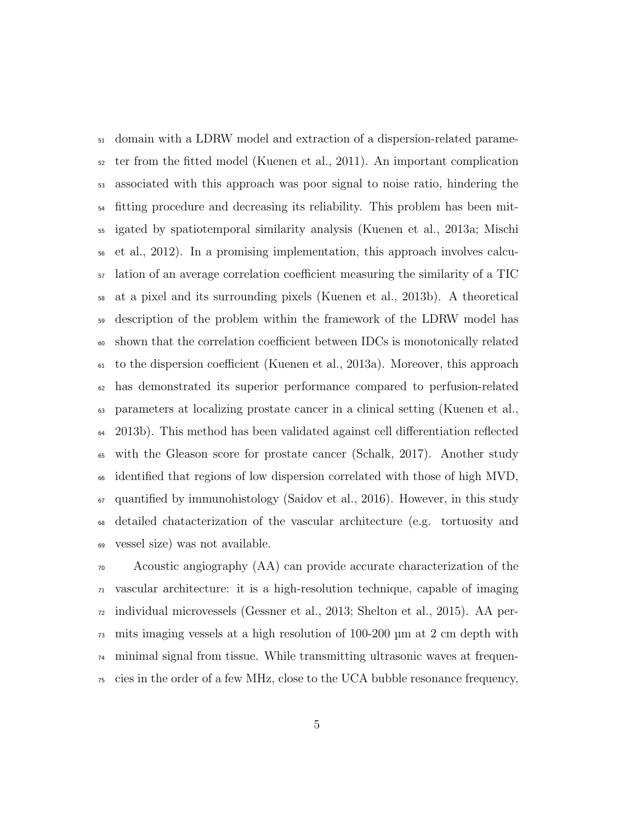domain with a LDRW model and extraction of a dispersion-related parame- ter from the fitted model (Kuenen et al., 2011). An important complication associated with this approach was poor signal to noise ratio, hindering the fitting procedure and decreasing its reliability. This problem has been mit- igated by spatiotemporal similarity analysis (Kuenen et al., 2013a; Mischi et al., 2012). In a promising implementation, this approach involves calcu- lation of an average correlation coefficient measuring the similarity of a TIC at a pixel and its surrounding pixels (Kuenen et al., 2013b). A theoretical description of the problem within the framework of the LDRW model has shown that the correlation coefficient between IDCs is monotonically related to the dispersion coefficient (Kuenen et al., 2013a). Moreover, this approach has demonstrated its superior performance compared to perfusion-related parameters at localizing prostate cancer in a clinical setting (Kuenen et al., 2013b). This method has been validated against cell differentiation reflected with the Gleason score for prostate cancer (Schalk, 2017). Another study identified that regions of low dispersion correlated with those of high MVD,  $\sigma$  quantified by immunohistology (Saidov et al., 2016). However, in this study detailed chatacterization of the vascular architecture (e.g. tortuosity and vessel size) was not available.

 Acoustic angiography (AA) can provide accurate characterization of the vascular architecture: it is a high-resolution technique, capable of imaging individual microvessels (Gessner et al., 2013; Shelton et al., 2015). AA per- mits imaging vessels at a high resolution of 100-200 µm at 2 cm depth with minimal signal from tissue. While transmitting ultrasonic waves at frequen-cies in the order of a few MHz, close to the UCA bubble resonance frequency,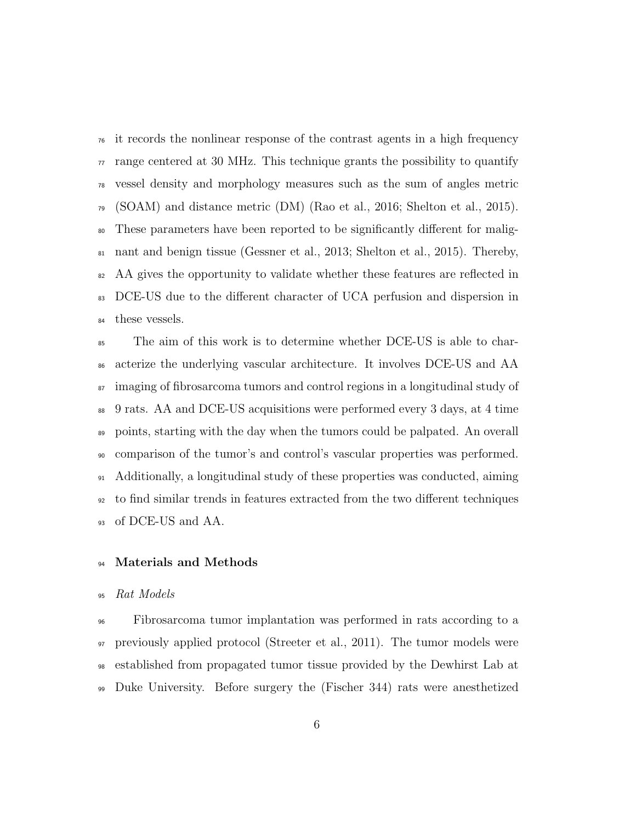it records the nonlinear response of the contrast agents in a high frequency  $\pi$  range centered at 30 MHz. This technique grants the possibility to quantify vessel density and morphology measures such as the sum of angles metric (SOAM) and distance metric (DM) (Rao et al., 2016; Shelton et al., 2015). These parameters have been reported to be significantly different for malig- nant and benign tissue (Gessner et al., 2013; Shelton et al., 2015). Thereby, <sup>82</sup> AA gives the opportunity to validate whether these features are reflected in DCE-US due to the different character of UCA perfusion and dispersion in 84 these vessels.

 The aim of this work is to determine whether DCE-US is able to char- acterize the underlying vascular architecture. It involves DCE-US and AA <sup>87</sup> imaging of fibrosarcoma tumors and control regions in a longitudinal study of 9 rats. AA and DCE-US acquisitions were performed every 3 days, at 4 time points, starting with the day when the tumors could be palpated. An overall comparison of the tumor's and control's vascular properties was performed. Additionally, a longitudinal study of these properties was conducted, aiming to find similar trends in features extracted from the two different techniques of DCE-US and AA.

### Materials and Methods

#### Rat Models

 Fibrosarcoma tumor implantation was performed in rats according to a previously applied protocol (Streeter et al., 2011). The tumor models were established from propagated tumor tissue provided by the Dewhirst Lab at Duke University. Before surgery the (Fischer 344) rats were anesthetized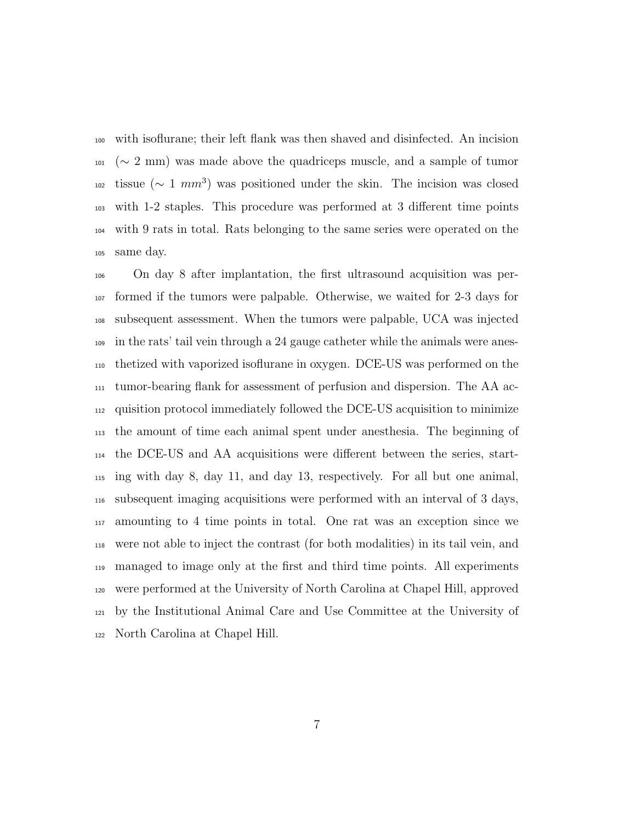with isoflurane; their left flank was then shaved and disinfected. An incision  $101~(\sim 2~\mathrm{mm})$  was made above the quadriceps muscle, and a sample of tumor tissue ( $∼ 1 mm<sup>3</sup>$ ) was positioned under the skin. The incision was closed with 1-2 staples. This procedure was performed at 3 different time points with 9 rats in total. Rats belonging to the same series were operated on the same day.

 On day 8 after implantation, the first ultrasound acquisition was per- formed if the tumors were palpable. Otherwise, we waited for 2-3 days for subsequent assessment. When the tumors were palpable, UCA was injected in the rats' tail vein through a 24 gauge catheter while the animals were anes- thetized with vaporized isoflurane in oxygen. DCE-US was performed on the tumor-bearing flank for assessment of perfusion and dispersion. The AA ac- quisition protocol immediately followed the DCE-US acquisition to minimize the amount of time each animal spent under anesthesia. The beginning of the DCE-US and AA acquisitions were different between the series, start- ing with day 8, day 11, and day 13, respectively. For all but one animal, subsequent imaging acquisitions were performed with an interval of 3 days, amounting to 4 time points in total. One rat was an exception since we were not able to inject the contrast (for both modalities) in its tail vein, and managed to image only at the first and third time points. All experiments were performed at the University of North Carolina at Chapel Hill, approved by the Institutional Animal Care and Use Committee at the University of North Carolina at Chapel Hill.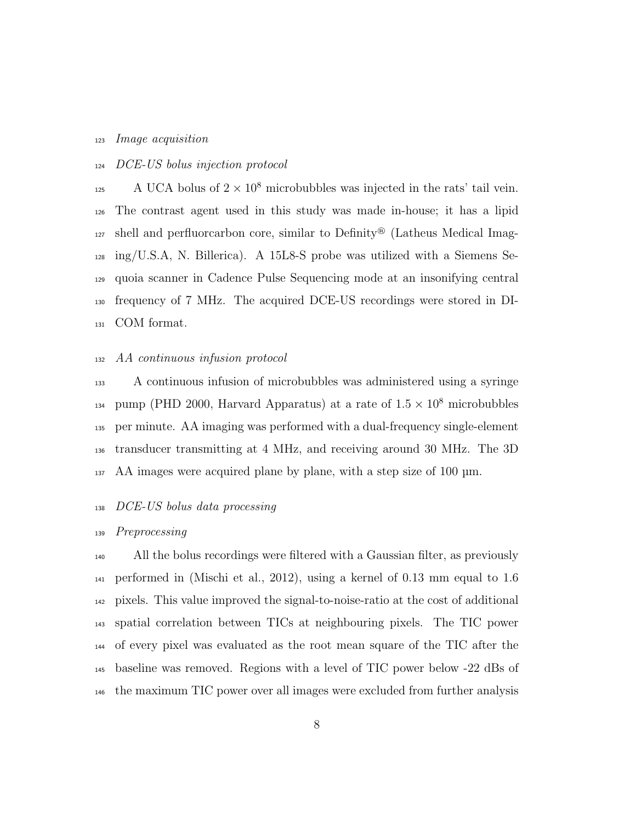#### Image acquisition

# DCE-US bolus injection protocol

 $A UCA$  bolus of  $2 \times 10^8$  microbubbles was injected in the rats' tail vein. The contrast agent used in this study was made in-house; it has a lipid shell and perfluorcarbon core, similar to Definity<sup>®</sup> (Latheus Medical Imag- $_{128}$  ing/U.S.A, N. Billerica). A 15L8-S probe was utilized with a Siemens Se- quoia scanner in Cadence Pulse Sequencing mode at an insonifying central frequency of 7 MHz. The acquired DCE-US recordings were stored in DI-COM format.

#### AA continuous infusion protocol

 A continuous infusion of microbubbles was administered using a syringe <sup>134</sup> pump (PHD 2000, Harvard Apparatus) at a rate of  $1.5 \times 10^8$  microbubbles per minute. AA imaging was performed with a dual-frequency single-element transducer transmitting at 4 MHz, and receiving around 30 MHz. The 3D AA images were acquired plane by plane, with a step size of 100 µm.

#### DCE-US bolus data processing

#### Preprocessing

 All the bolus recordings were filtered with a Gaussian filter, as previously performed in (Mischi et al., 2012), using a kernel of 0.13 mm equal to 1.6 pixels. This value improved the signal-to-noise-ratio at the cost of additional spatial correlation between TICs at neighbouring pixels. The TIC power of every pixel was evaluated as the root mean square of the TIC after the baseline was removed. Regions with a level of TIC power below -22 dBs of the maximum TIC power over all images were excluded from further analysis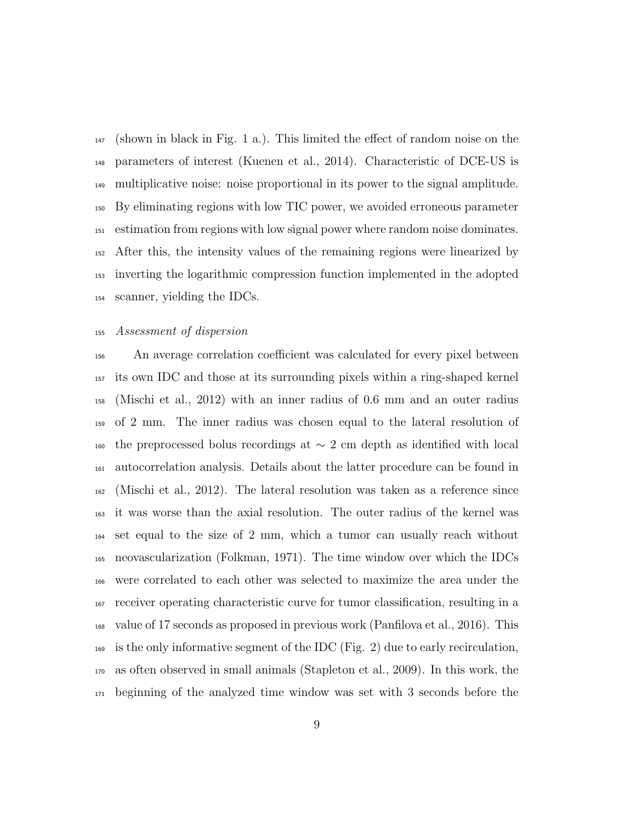(shown in black in Fig. 1 a.). This limited the effect of random noise on the parameters of interest (Kuenen et al., 2014). Characteristic of DCE-US is multiplicative noise: noise proportional in its power to the signal amplitude. By eliminating regions with low TIC power, we avoided erroneous parameter estimation from regions with low signal power where random noise dominates. After this, the intensity values of the remaining regions were linearized by inverting the logarithmic compression function implemented in the adopted scanner, yielding the IDCs.

#### Assessment of dispersion

 An average correlation coefficient was calculated for every pixel between its own IDC and those at its surrounding pixels within a ring-shaped kernel (Mischi et al., 2012) with an inner radius of 0.6 mm and an outer radius of 2 mm. The inner radius was chosen equal to the lateral resolution of the preprocessed bolus recordings at ∼ 2 cm depth as identified with local autocorrelation analysis. Details about the latter procedure can be found in (Mischi et al., 2012). The lateral resolution was taken as a reference since it was worse than the axial resolution. The outer radius of the kernel was set equal to the size of 2 mm, which a tumor can usually reach without neovascularization (Folkman, 1971). The time window over which the IDCs were correlated to each other was selected to maximize the area under the receiver operating characteristic curve for tumor classification, resulting in a value of 17 seconds as proposed in previous work (Panfilova et al., 2016). This  $_{169}$  is the only informative segment of the IDC (Fig. 2) due to early recirculation, as often observed in small animals (Stapleton et al., 2009). In this work, the beginning of the analyzed time window was set with 3 seconds before the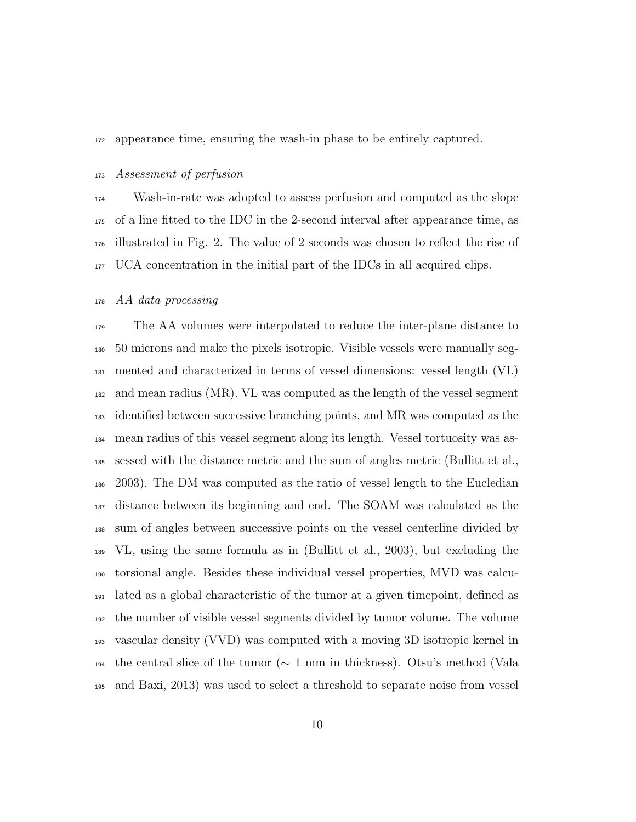appearance time, ensuring the wash-in phase to be entirely captured.

#### Assessment of perfusion

 Wash-in-rate was adopted to assess perfusion and computed as the slope of a line fitted to the IDC in the 2-second interval after appearance time, as illustrated in Fig. 2. The value of 2 seconds was chosen to reflect the rise of UCA concentration in the initial part of the IDCs in all acquired clips.

AA data processing

 The AA volumes were interpolated to reduce the inter-plane distance to 50 microns and make the pixels isotropic. Visible vessels were manually seg- mented and characterized in terms of vessel dimensions: vessel length (VL) and mean radius (MR). VL was computed as the length of the vessel segment identified between successive branching points, and MR was computed as the mean radius of this vessel segment along its length. Vessel tortuosity was as- sessed with the distance metric and the sum of angles metric (Bullitt et al., 2003). The DM was computed as the ratio of vessel length to the Eucledian distance between its beginning and end. The SOAM was calculated as the sum of angles between successive points on the vessel centerline divided by VL, using the same formula as in (Bullitt et al., 2003), but excluding the torsional angle. Besides these individual vessel properties, MVD was calcu- lated as a global characteristic of the tumor at a given timepoint, defined as the number of visible vessel segments divided by tumor volume. The volume vascular density (VVD) was computed with a moving 3D isotropic kernel in the central slice of the tumor (∼ 1 mm in thickness). Otsu's method (Vala and Baxi, 2013) was used to select a threshold to separate noise from vessel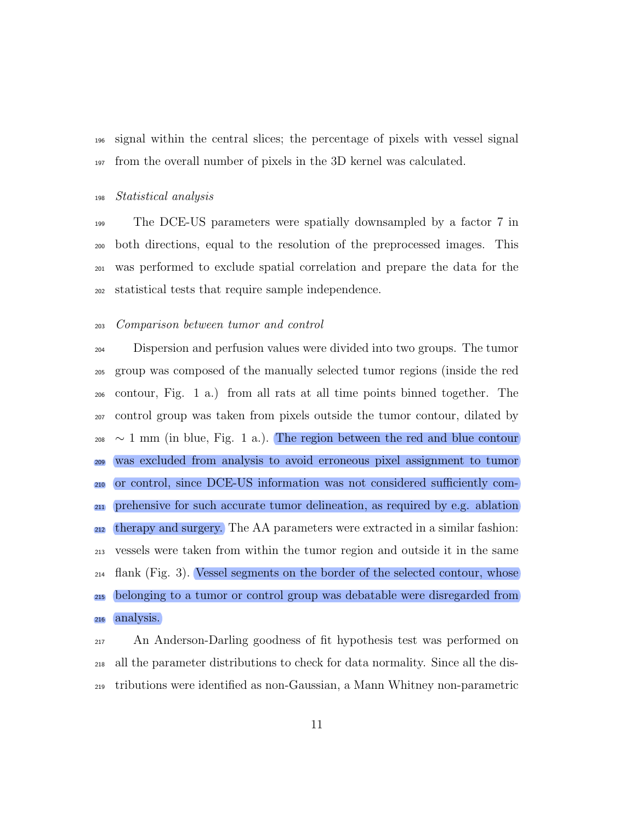signal within the central slices; the percentage of pixels with vessel signal from the overall number of pixels in the 3D kernel was calculated.

#### Statistical analysis

 The DCE-US parameters were spatially downsampled by a factor 7 in both directions, equal to the resolution of the preprocessed images. This was performed to exclude spatial correlation and prepare the data for the statistical tests that require sample independence.

#### Comparison between tumor and control

 Dispersion and perfusion values were divided into two groups. The tumor group was composed of the manually selected tumor regions (inside the red contour, Fig. 1 a.) from all rats at all time points binned together. The control group was taken from pixels outside the tumor contour, dilated by  $_{208}$  ~ 1 mm (in blue, Fig. 1 a.). The region between the red and blue contour was excluded from analysis to avoid erroneous pixel assignment to tumor or control, since DCE-US information was not considered sufficiently com- prehensive for such accurate tumor delineation, as required by e.g. ablation therapy and surgery. The AA parameters were extracted in a similar fashion: vessels were taken from within the tumor region and outside it in the same flank (Fig. 3). Vessel segments on the border of the selected contour, whose belonging to a tumor or control group was debatable were disregarded from analysis.

 An Anderson-Darling goodness of fit hypothesis test was performed on all the parameter distributions to check for data normality. Since all the dis-tributions were identified as non-Gaussian, a Mann Whitney non-parametric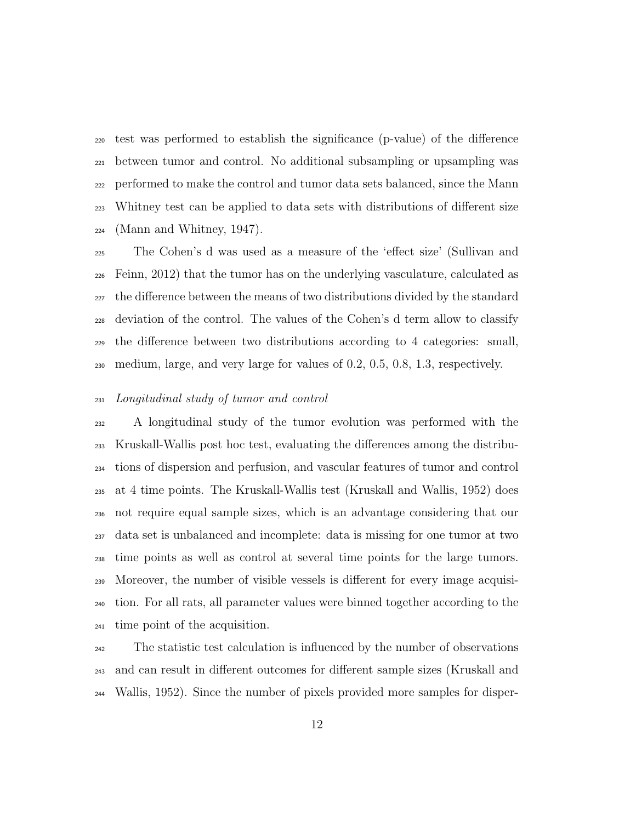test was performed to establish the significance (p-value) of the difference between tumor and control. No additional subsampling or upsampling was performed to make the control and tumor data sets balanced, since the Mann Whitney test can be applied to data sets with distributions of different size  $_{224}$  (Mann and Whitney, 1947).

 The Cohen's d was used as a measure of the 'effect size' (Sullivan and Feinn, 2012) that the tumor has on the underlying vasculature, calculated as the difference between the means of two distributions divided by the standard deviation of the control. The values of the Cohen's d term allow to classify the difference between two distributions according to 4 categories: small, medium, large, and very large for values of 0.2, 0.5, 0.8, 1.3, respectively.

#### Longitudinal study of tumor and control

 A longitudinal study of the tumor evolution was performed with the Kruskall-Wallis post hoc test, evaluating the differences among the distribu- tions of dispersion and perfusion, and vascular features of tumor and control at 4 time points. The Kruskall-Wallis test (Kruskall and Wallis, 1952) does not require equal sample sizes, which is an advantage considering that our data set is unbalanced and incomplete: data is missing for one tumor at two time points as well as control at several time points for the large tumors. Moreover, the number of visible vessels is different for every image acquisi- tion. For all rats, all parameter values were binned together according to the time point of the acquisition.

 The statistic test calculation is influenced by the number of observations and can result in different outcomes for different sample sizes (Kruskall and Wallis, 1952). Since the number of pixels provided more samples for disper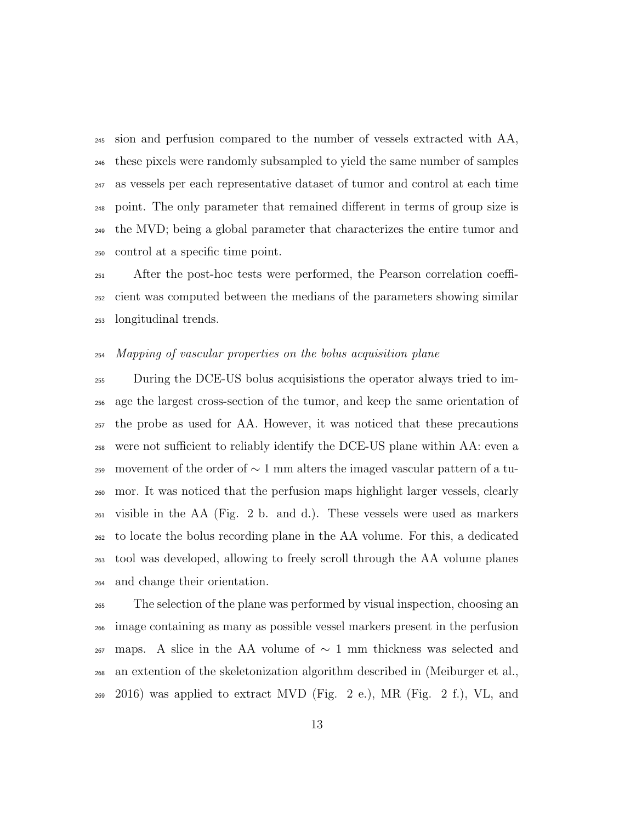sion and perfusion compared to the number of vessels extracted with AA, these pixels were randomly subsampled to yield the same number of samples as vessels per each representative dataset of tumor and control at each time point. The only parameter that remained different in terms of group size is the MVD; being a global parameter that characterizes the entire tumor and control at a specific time point.

 After the post-hoc tests were performed, the Pearson correlation coeffi- cient was computed between the medians of the parameters showing similar longitudinal trends.

#### Mapping of vascular properties on the bolus acquisition plane

 During the DCE-US bolus acquisistions the operator always tried to im- age the largest cross-section of the tumor, and keep the same orientation of the probe as used for AA. However, it was noticed that these precautions were not sufficient to reliably identify the DCE-US plane within AA: even a 259 movement of the order of  $\sim$  1 mm alters the imaged vascular pattern of a tu- mor. It was noticed that the perfusion maps highlight larger vessels, clearly visible in the AA (Fig. 2 b. and d.). These vessels were used as markers to locate the bolus recording plane in the AA volume. For this, a dedicated tool was developed, allowing to freely scroll through the AA volume planes and change their orientation.

 The selection of the plane was performed by visual inspection, choosing an image containing as many as possible vessel markers present in the perfusion 267 maps. A slice in the AA volume of  $\sim$  1 mm thickness was selected and an extention of the skeletonization algorithm described in (Meiburger et al.,  $269 \quad 2016$ ) was applied to extract MVD (Fig. 2 e.), MR (Fig. 2 f.), VL, and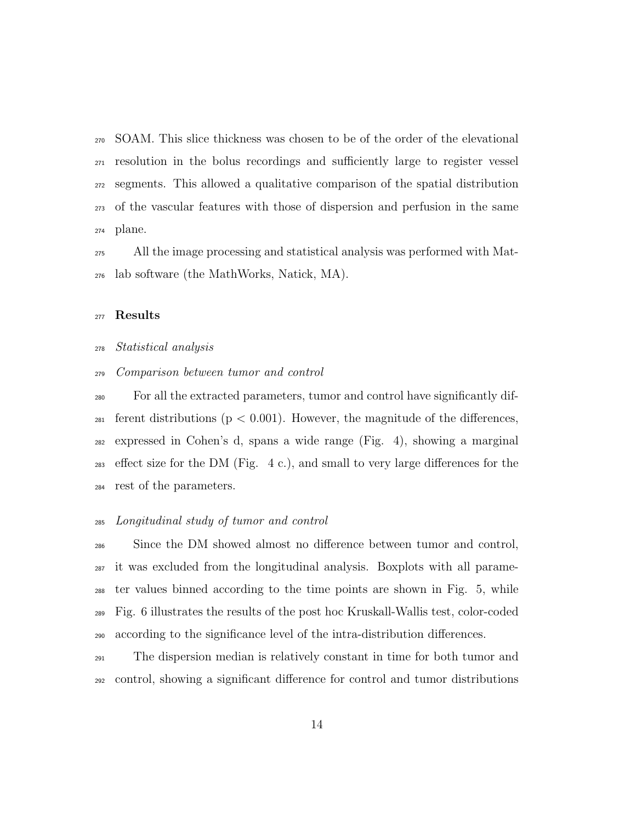SOAM. This slice thickness was chosen to be of the order of the elevational resolution in the bolus recordings and sufficiently large to register vessel segments. This allowed a qualitative comparison of the spatial distribution of the vascular features with those of dispersion and perfusion in the same plane.

 All the image processing and statistical analysis was performed with Mat-lab software (the MathWorks, Natick, MA).

#### Results

Statistical analysis

#### Comparison between tumor and control

 For all the extracted parameters, tumor and control have significantly dif-<sup>281</sup> ferent distributions ( $p < 0.001$ ). However, the magnitude of the differences, expressed in Cohen's d, spans a wide range (Fig. 4), showing a marginal effect size for the DM (Fig. 4 c.), and small to very large differences for the rest of the parameters.

#### Longitudinal study of tumor and control

 Since the DM showed almost no difference between tumor and control, it was excluded from the longitudinal analysis. Boxplots with all parame- ter values binned according to the time points are shown in Fig. 5, while Fig. 6 illustrates the results of the post hoc Kruskall-Wallis test, color-coded according to the significance level of the intra-distribution differences.

 The dispersion median is relatively constant in time for both tumor and control, showing a significant difference for control and tumor distributions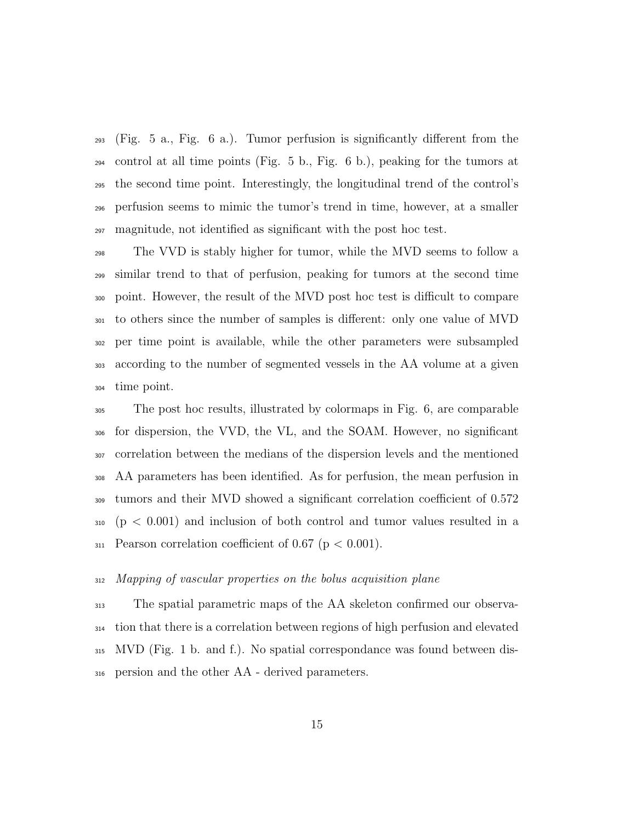(Fig. 5 a., Fig. 6 a.). Tumor perfusion is significantly different from the control at all time points (Fig. 5 b., Fig. 6 b.), peaking for the tumors at the second time point. Interestingly, the longitudinal trend of the control's perfusion seems to mimic the tumor's trend in time, however, at a smaller magnitude, not identified as significant with the post hoc test.

 The VVD is stably higher for tumor, while the MVD seems to follow a similar trend to that of perfusion, peaking for tumors at the second time point. However, the result of the MVD post hoc test is difficult to compare to others since the number of samples is different: only one value of MVD per time point is available, while the other parameters were subsampled according to the number of segmented vessels in the AA volume at a given time point.

 The post hoc results, illustrated by colormaps in Fig. 6, are comparable for dispersion, the VVD, the VL, and the SOAM. However, no significant correlation between the medians of the dispersion levels and the mentioned AA parameters has been identified. As for perfusion, the mean perfusion in tumors and their MVD showed a significant correlation coefficient of 0.572 (p < 0.001) and inclusion of both control and tumor values resulted in a  $_{311}$  Pearson correlation coefficient of 0.67 ( $p < 0.001$ ).

#### Mapping of vascular properties on the bolus acquisition plane

 The spatial parametric maps of the AA skeleton confirmed our observa- tion that there is a correlation between regions of high perfusion and elevated MVD (Fig. 1 b. and f.). No spatial correspondance was found between dis-persion and the other AA - derived parameters.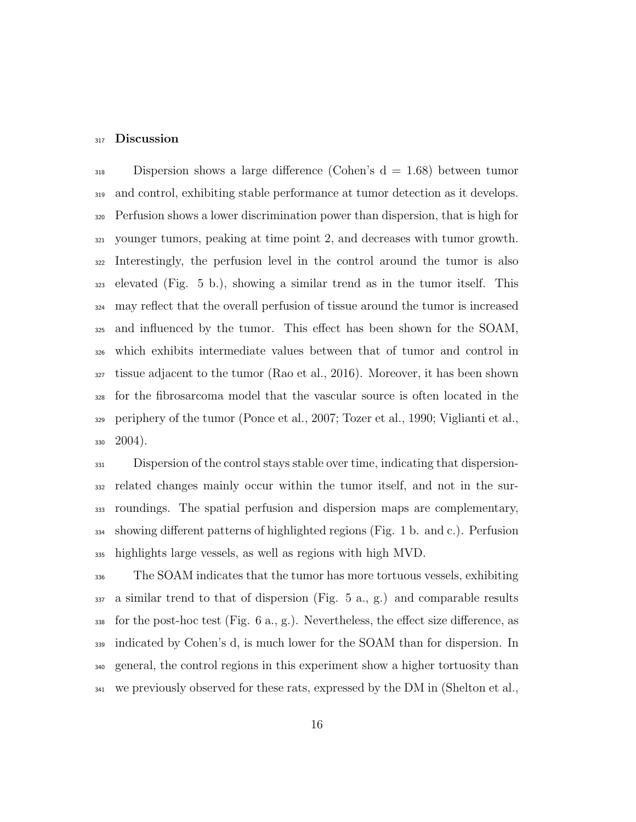#### 317 Discussion

 Dispersion shows a large difference (Cohen's d = 1.68) between tumor and control, exhibiting stable performance at tumor detection as it develops. Perfusion shows a lower discrimination power than dispersion, that is high for younger tumors, peaking at time point 2, and decreases with tumor growth. Interestingly, the perfusion level in the control around the tumor is also elevated (Fig. 5 b.), showing a similar trend as in the tumor itself. This may reflect that the overall perfusion of tissue around the tumor is increased and influenced by the tumor. This effect has been shown for the SOAM, which exhibits intermediate values between that of tumor and control in tissue adjacent to the tumor (Rao et al., 2016). Moreover, it has been shown for the fibrosarcoma model that the vascular source is often located in the periphery of the tumor (Ponce et al., 2007; Tozer et al., 1990; Viglianti et al.,  $330\quad 2004$ ).

 Dispersion of the control stays stable over time, indicating that dispersion- related changes mainly occur within the tumor itself, and not in the sur- roundings. The spatial perfusion and dispersion maps are complementary, showing different patterns of highlighted regions (Fig. 1 b. and c.). Perfusion highlights large vessels, as well as regions with high MVD.

 The SOAM indicates that the tumor has more tortuous vessels, exhibiting a similar trend to that of dispersion (Fig. 5 a., g.) and comparable results for the post-hoc test (Fig. 6 a., g.). Nevertheless, the effect size difference, as indicated by Cohen's d, is much lower for the SOAM than for dispersion. In general, the control regions in this experiment show a higher tortuosity than we previously observed for these rats, expressed by the DM in (Shelton et al.,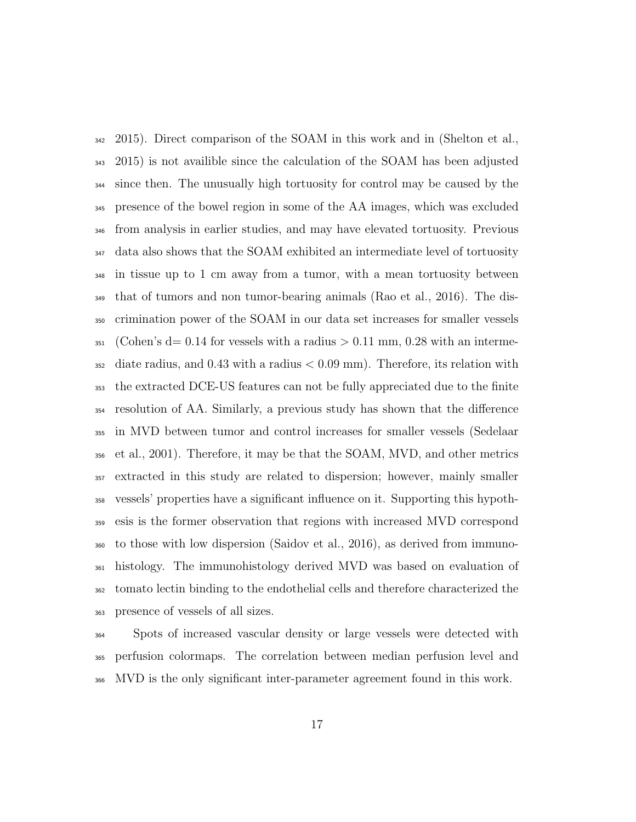2015). Direct comparison of the SOAM in this work and in (Shelton et al., 2015) is not availible since the calculation of the SOAM has been adjusted since then. The unusually high tortuosity for control may be caused by the presence of the bowel region in some of the AA images, which was excluded from analysis in earlier studies, and may have elevated tortuosity. Previous data also shows that the SOAM exhibited an intermediate level of tortuosity in tissue up to 1 cm away from a tumor, with a mean tortuosity between that of tumors and non tumor-bearing animals (Rao et al., 2016). The dis- crimination power of the SOAM in our data set increases for smaller vessels  $_{351}$  (Cohen's d= 0.14 for vessels with a radius  $> 0.11$  mm, 0.28 with an interme- diate radius, and 0.43 with a radius  $< 0.09$  mm). Therefore, its relation with the extracted DCE-US features can not be fully appreciated due to the finite resolution of AA. Similarly, a previous study has shown that the difference in MVD between tumor and control increases for smaller vessels (Sedelaar et al., 2001). Therefore, it may be that the SOAM, MVD, and other metrics extracted in this study are related to dispersion; however, mainly smaller vessels' properties have a significant influence on it. Supporting this hypoth- esis is the former observation that regions with increased MVD correspond to those with low dispersion (Saidov et al., 2016), as derived from immuno- histology. The immunohistology derived MVD was based on evaluation of tomato lectin binding to the endothelial cells and therefore characterized the presence of vessels of all sizes.

 Spots of increased vascular density or large vessels were detected with perfusion colormaps. The correlation between median perfusion level and MVD is the only significant inter-parameter agreement found in this work.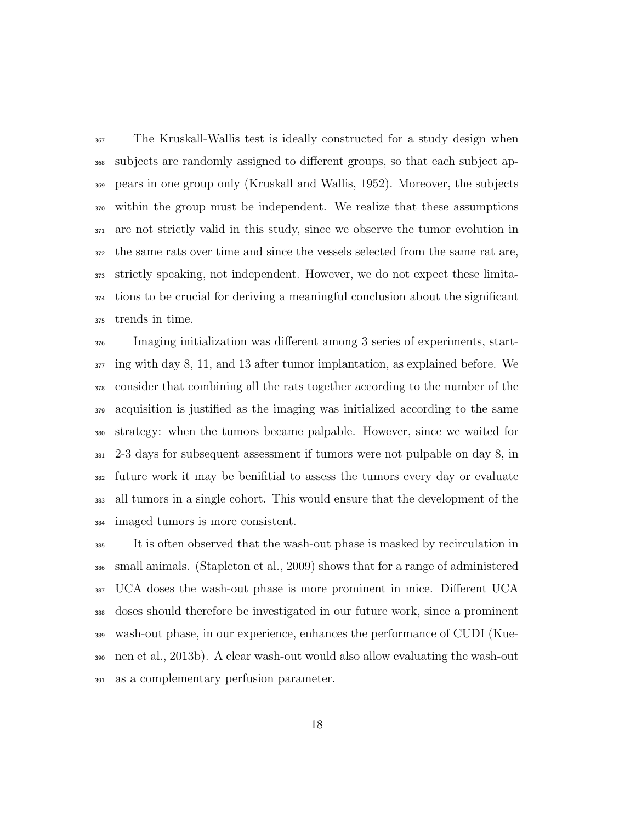The Kruskall-Wallis test is ideally constructed for a study design when subjects are randomly assigned to different groups, so that each subject ap- pears in one group only (Kruskall and Wallis, 1952). Moreover, the subjects within the group must be independent. We realize that these assumptions are not strictly valid in this study, since we observe the tumor evolution in the same rats over time and since the vessels selected from the same rat are, strictly speaking, not independent. However, we do not expect these limita- tions to be crucial for deriving a meaningful conclusion about the significant trends in time.

 Imaging initialization was different among 3 series of experiments, start- $\frac{377}{2}$  ing with day 8, 11, and 13 after tumor implantation, as explained before. We consider that combining all the rats together according to the number of the acquisition is justified as the imaging was initialized according to the same strategy: when the tumors became palpable. However, since we waited for 2-3 days for subsequent assessment if tumors were not pulpable on day 8, in future work it may be benifitial to assess the tumors every day or evaluate all tumors in a single cohort. This would ensure that the development of the imaged tumors is more consistent.

 It is often observed that the wash-out phase is masked by recirculation in small animals. (Stapleton et al., 2009) shows that for a range of administered UCA doses the wash-out phase is more prominent in mice. Different UCA doses should therefore be investigated in our future work, since a prominent wash-out phase, in our experience, enhances the performance of CUDI (Kue- nen et al., 2013b). A clear wash-out would also allow evaluating the wash-out as a complementary perfusion parameter.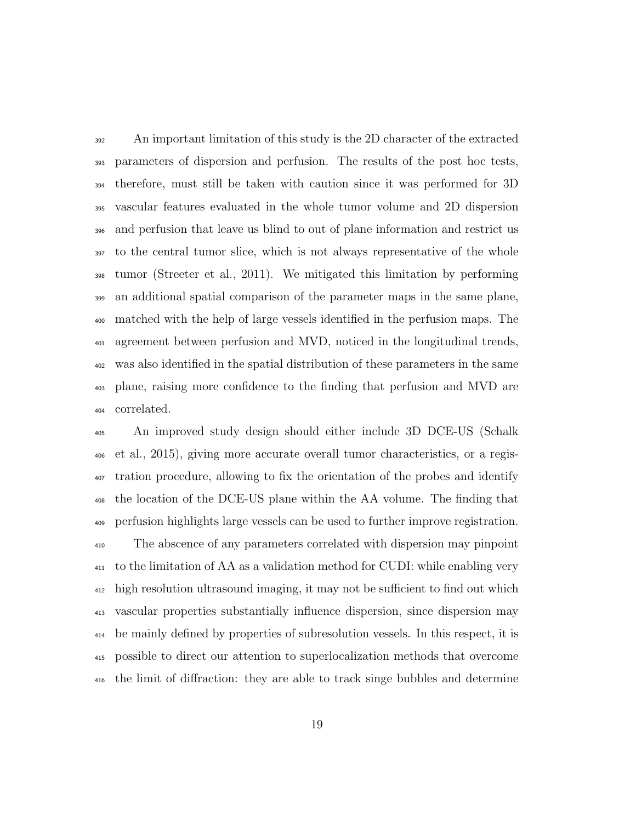An important limitation of this study is the 2D character of the extracted parameters of dispersion and perfusion. The results of the post hoc tests, therefore, must still be taken with caution since it was performed for 3D vascular features evaluated in the whole tumor volume and 2D dispersion and perfusion that leave us blind to out of plane information and restrict us to the central tumor slice, which is not always representative of the whole tumor (Streeter et al., 2011). We mitigated this limitation by performing an additional spatial comparison of the parameter maps in the same plane, matched with the help of large vessels identified in the perfusion maps. The agreement between perfusion and MVD, noticed in the longitudinal trends, was also identified in the spatial distribution of these parameters in the same plane, raising more confidence to the finding that perfusion and MVD are correlated.

 An improved study design should either include 3D DCE-US (Schalk et al., 2015), giving more accurate overall tumor characteristics, or a regis- tration procedure, allowing to fix the orientation of the probes and identify the location of the DCE-US plane within the AA volume. The finding that perfusion highlights large vessels can be used to further improve registration. The abscence of any parameters correlated with dispersion may pinpoint to the limitation of AA as a validation method for CUDI: while enabling very high resolution ultrasound imaging, it may not be sufficient to find out which vascular properties substantially influence dispersion, since dispersion may be mainly defined by properties of subresolution vessels. In this respect, it is possible to direct our attention to superlocalization methods that overcome the limit of diffraction: they are able to track singe bubbles and determine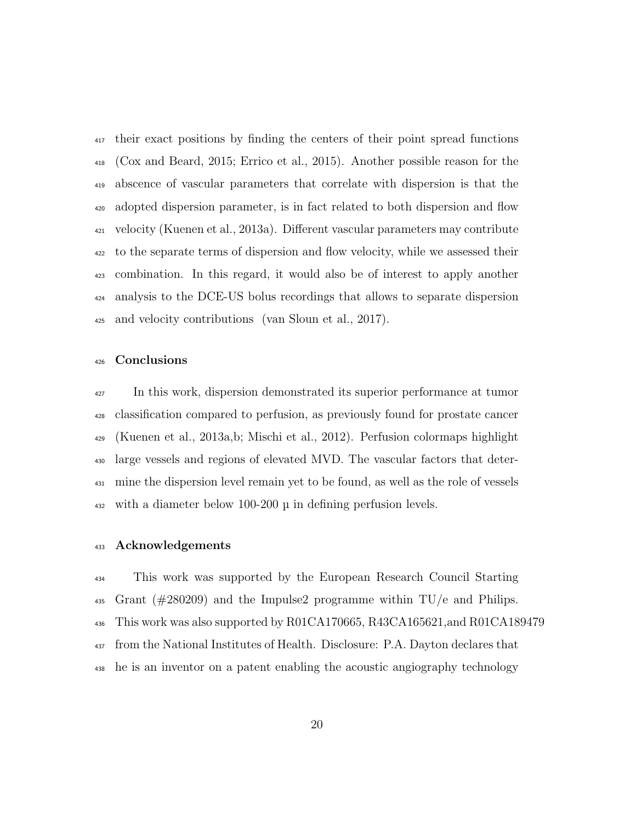their exact positions by finding the centers of their point spread functions (Cox and Beard, 2015; Errico et al., 2015). Another possible reason for the abscence of vascular parameters that correlate with dispersion is that the adopted dispersion parameter, is in fact related to both dispersion and flow velocity (Kuenen et al., 2013a). Different vascular parameters may contribute to the separate terms of dispersion and flow velocity, while we assessed their combination. In this regard, it would also be of interest to apply another analysis to the DCE-US bolus recordings that allows to separate dispersion and velocity contributions (van Sloun et al., 2017).

# Conclusions

<sup>427</sup> In this work, dispersion demonstrated its superior performance at tumor classification compared to perfusion, as previously found for prostate cancer (Kuenen et al., 2013a,b; Mischi et al., 2012). Perfusion colormaps highlight large vessels and regions of elevated MVD. The vascular factors that deter- mine the dispersion level remain yet to be found, as well as the role of vessels with a diameter below 100-200 µ in defining perfusion levels.

#### Acknowledgements

 This work was supported by the European Research Council Starting Grant (#280209) and the Impulse2 programme within TU/e and Philips. This work was also supported by R01CA170665, R43CA165621,and R01CA189479 from the National Institutes of Health. Disclosure: P.A. Dayton declares that he is an inventor on a patent enabling the acoustic angiography technology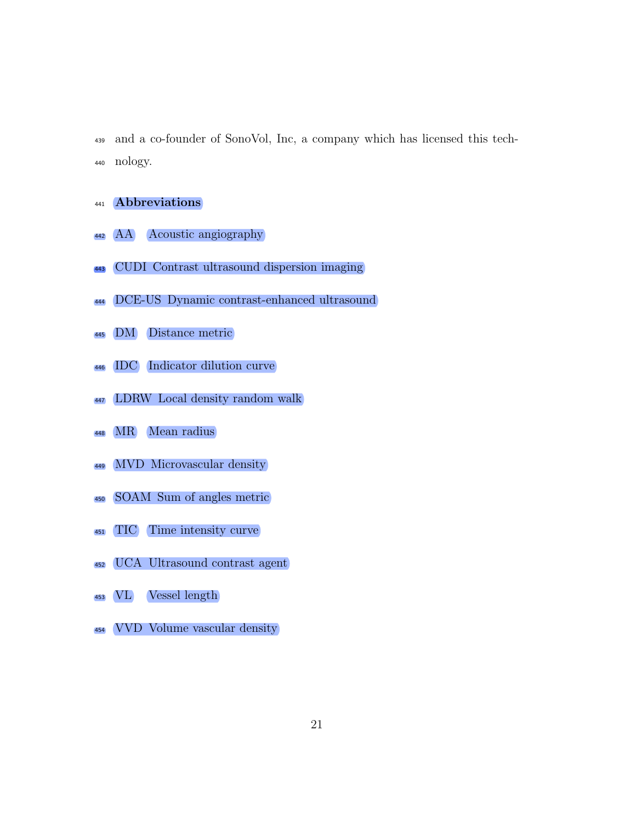and a co-founder of SonoVol, Inc, a company which has licensed this tech-nology.

- Abbreviations
- AA Acoustic angiography
- CUDI Contrast ultrasound dispersion imaging
- DCE-US Dynamic contrast-enhanced ultrasound
- DM Distance metric
- IDC Indicator dilution curve
- LDRW Local density random walk
- MR Mean radius
- MVD Microvascular density
- SOAM Sum of angles metric
- TIC Time intensity curve
- UCA Ultrasound contrast agent
- VL Vessel length
- VVD Volume vascular density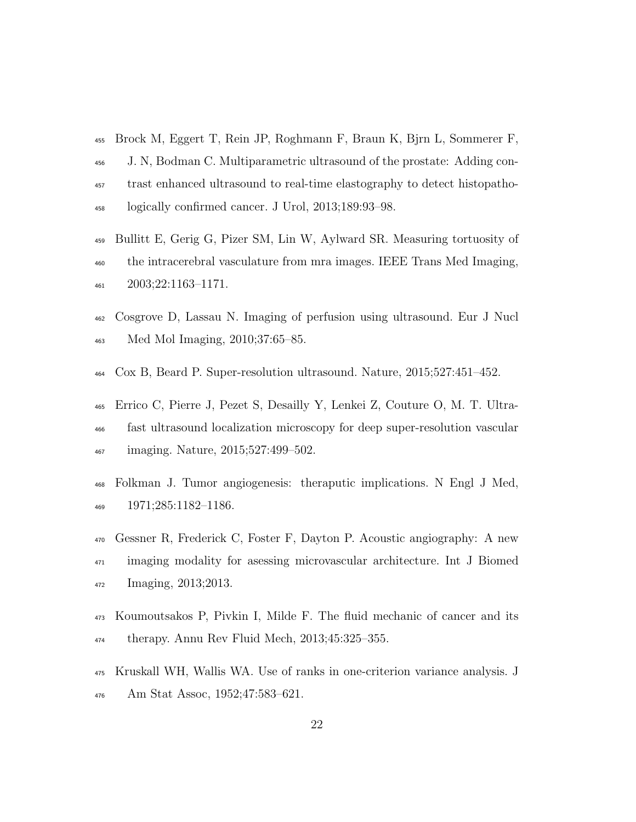- Brock M, Eggert T, Rein JP, Roghmann F, Braun K, Bjrn L, Sommerer F,
- J. N, Bodman C. Multiparametric ultrasound of the prostate: Adding con- trast enhanced ultrasound to real-time elastography to detect histopatho-logically confirmed cancer. J Urol, 2013;189:93–98.
- Bullitt E, Gerig G, Pizer SM, Lin W, Aylward SR. Measuring tortuosity of the intracerebral vasculature from mra images. IEEE Trans Med Imaging, 2003;22:1163–1171.
- Cosgrove D, Lassau N. Imaging of perfusion using ultrasound. Eur J Nucl Med Mol Imaging, 2010;37:65–85.
- Cox B, Beard P. Super-resolution ultrasound. Nature, 2015;527:451–452.
- Errico C, Pierre J, Pezet S, Desailly Y, Lenkei Z, Couture O, M. T. Ultra- fast ultrasound localization microscopy for deep super-resolution vascular imaging. Nature, 2015;527:499–502.
- Folkman J. Tumor angiogenesis: theraputic implications. N Engl J Med, 1971;285:1182–1186.
- Gessner R, Frederick C, Foster F, Dayton P. Acoustic angiography: A new imaging modality for asessing microvascular architecture. Int J Biomed Imaging, 2013;2013.
- Koumoutsakos P, Pivkin I, Milde F. The fluid mechanic of cancer and its therapy. Annu Rev Fluid Mech, 2013;45:325–355.
- Kruskall WH, Wallis WA. Use of ranks in one-criterion variance analysis. J Am Stat Assoc, 1952;47:583–621.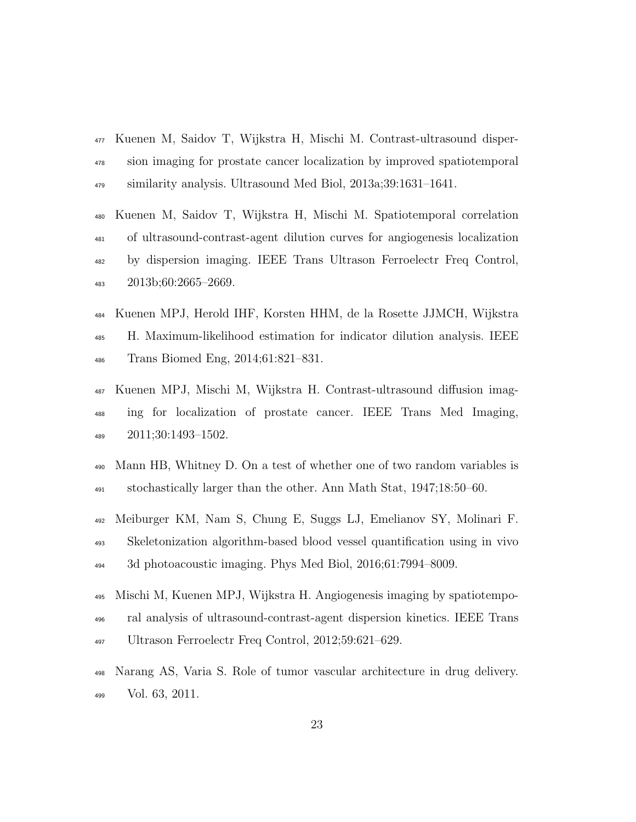- Kuenen M, Saidov T, Wijkstra H, Mischi M. Contrast-ultrasound disper- sion imaging for prostate cancer localization by improved spatiotemporal similarity analysis. Ultrasound Med Biol, 2013a;39:1631–1641.
- Kuenen M, Saidov T, Wijkstra H, Mischi M. Spatiotemporal correlation of ultrasound-contrast-agent dilution curves for angiogenesis localization by dispersion imaging. IEEE Trans Ultrason Ferroelectr Freq Control, 2013b;60:2665–2669.
- Kuenen MPJ, Herold IHF, Korsten HHM, de la Rosette JJMCH, Wijkstra H. Maximum-likelihood estimation for indicator dilution analysis. IEEE Trans Biomed Eng, 2014;61:821–831.
- Kuenen MPJ, Mischi M, Wijkstra H. Contrast-ultrasound diffusion imag- ing for localization of prostate cancer. IEEE Trans Med Imaging, 2011;30:1493–1502.
- Mann HB, Whitney D. On a test of whether one of two random variables is stochastically larger than the other. Ann Math Stat, 1947;18:50–60.
- Meiburger KM, Nam S, Chung E, Suggs LJ, Emelianov SY, Molinari F. Skeletonization algorithm-based blood vessel quantification using in vivo 3d photoacoustic imaging. Phys Med Biol, 2016;61:7994–8009.
- Mischi M, Kuenen MPJ, Wijkstra H. Angiogenesis imaging by spatiotempo- ral analysis of ultrasound-contrast-agent dispersion kinetics. IEEE Trans Ultrason Ferroelectr Freq Control, 2012;59:621–629.
- Narang AS, Varia S. Role of tumor vascular architecture in drug delivery. Vol. 63, 2011.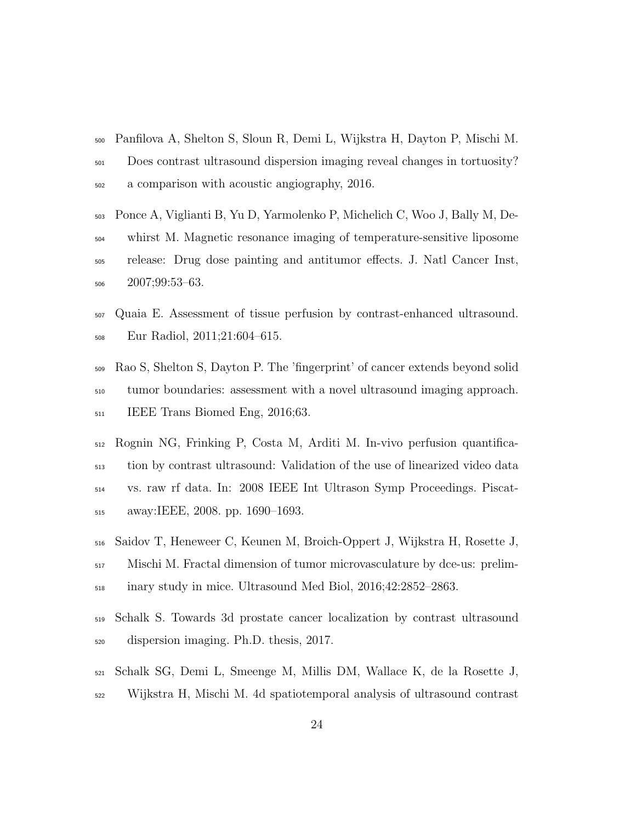- Panfilova A, Shelton S, Sloun R, Demi L, Wijkstra H, Dayton P, Mischi M. Does contrast ultrasound dispersion imaging reveal changes in tortuosity? a comparison with acoustic angiography, 2016.
- Ponce A, Viglianti B, Yu D, Yarmolenko P, Michelich C, Woo J, Bally M, De- whirst M. Magnetic resonance imaging of temperature-sensitive liposome release: Drug dose painting and antitumor effects. J. Natl Cancer Inst, 2007;99:53–63.
- Quaia E. Assessment of tissue perfusion by contrast-enhanced ultrasound. Eur Radiol, 2011;21:604–615.
- Rao S, Shelton S, Dayton P. The 'fingerprint' of cancer extends beyond solid tumor boundaries: assessment with a novel ultrasound imaging approach. <sup>511</sup> IEEE Trans Biomed Eng, 2016;63.
- Rognin NG, Frinking P, Costa M, Arditi M. In-vivo perfusion quantifica- tion by contrast ultrasound: Validation of the use of linearized video data vs. raw rf data. In: 2008 IEEE Int Ultrason Symp Proceedings. Piscat-away:IEEE, 2008. pp. 1690–1693.
- Saidov T, Heneweer C, Keunen M, Broich-Oppert J, Wijkstra H, Rosette J, Mischi M. Fractal dimension of tumor microvasculature by dce-us: prelim-inary study in mice. Ultrasound Med Biol, 2016;42:2852–2863.
- Schalk S. Towards 3d prostate cancer localization by contrast ultrasound dispersion imaging. Ph.D. thesis, 2017.
- Schalk SG, Demi L, Smeenge M, Millis DM, Wallace K, de la Rosette J, Wijkstra H, Mischi M. 4d spatiotemporal analysis of ultrasound contrast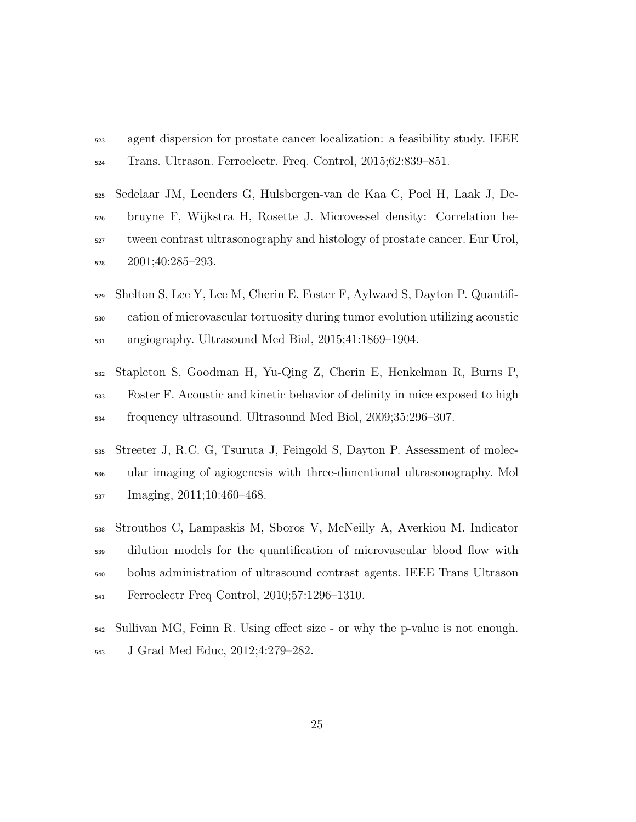- agent dispersion for prostate cancer localization: a feasibility study. IEEE Trans. Ultrason. Ferroelectr. Freq. Control, 2015;62:839–851.
- Sedelaar JM, Leenders G, Hulsbergen-van de Kaa C, Poel H, Laak J, De- bruyne F, Wijkstra H, Rosette J. Microvessel density: Correlation be- tween contrast ultrasonography and histology of prostate cancer. Eur Urol, 2001;40:285–293.
- Shelton S, Lee Y, Lee M, Cherin E, Foster F, Aylward S, Dayton P. Quantifi- cation of microvascular tortuosity during tumor evolution utilizing acoustic angiography. Ultrasound Med Biol, 2015;41:1869–1904.
- Stapleton S, Goodman H, Yu-Qing Z, Cherin E, Henkelman R, Burns P, Foster F. Acoustic and kinetic behavior of definity in mice exposed to high frequency ultrasound. Ultrasound Med Biol, 2009;35:296–307.
- Streeter J, R.C. G, Tsuruta J, Feingold S, Dayton P. Assessment of molec- ular imaging of agiogenesis with three-dimentional ultrasonography. Mol Imaging, 2011;10:460–468.
- Strouthos C, Lampaskis M, Sboros V, McNeilly A, Averkiou M. Indicator dilution models for the quantification of microvascular blood flow with bolus administration of ultrasound contrast agents. IEEE Trans Ultrason Ferroelectr Freq Control, 2010;57:1296–1310.
- Sullivan MG, Feinn R. Using effect size or why the p-value is not enough. J Grad Med Educ, 2012;4:279–282.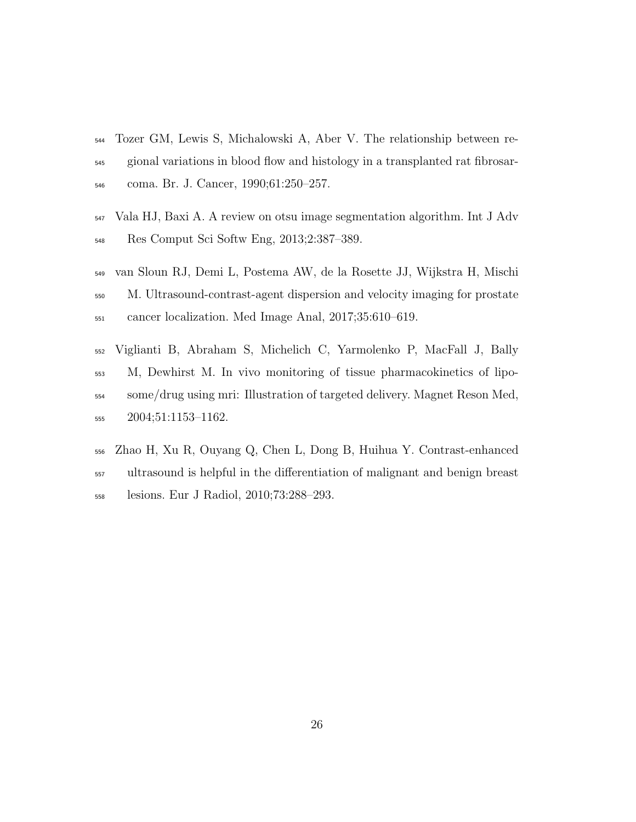- Tozer GM, Lewis S, Michalowski A, Aber V. The relationship between re- gional variations in blood flow and histology in a transplanted rat fibrosar-coma. Br. J. Cancer, 1990;61:250–257.
- Vala HJ, Baxi A. A review on otsu image segmentation algorithm. Int J Adv Res Comput Sci Softw Eng, 2013;2:387–389.
- van Sloun RJ, Demi L, Postema AW, de la Rosette JJ, Wijkstra H, Mischi M. Ultrasound-contrast-agent dispersion and velocity imaging for prostate cancer localization. Med Image Anal, 2017;35:610–619.
- Viglianti B, Abraham S, Michelich C, Yarmolenko P, MacFall J, Bally M, Dewhirst M. In vivo monitoring of tissue pharmacokinetics of lipo- some/drug using mri: Illustration of targeted delivery. Magnet Reson Med, 2004;51:1153–1162.
- Zhao H, Xu R, Ouyang Q, Chen L, Dong B, Huihua Y. Contrast-enhanced ultrasound is helpful in the differentiation of malignant and benign breast lesions. Eur J Radiol, 2010;73:288–293.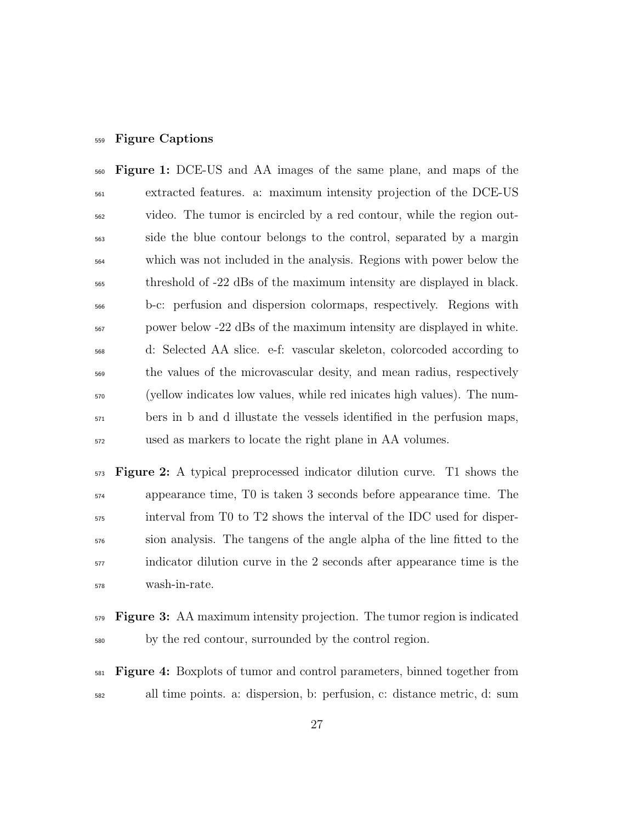#### Figure Captions

 Figure 1: DCE-US and AA images of the same plane, and maps of the extracted features. a: maximum intensity projection of the DCE-US video. The tumor is encircled by a red contour, while the region out- side the blue contour belongs to the control, separated by a margin which was not included in the analysis. Regions with power below the threshold of -22 dBs of the maximum intensity are displayed in black. b-c: perfusion and dispersion colormaps, respectively. Regions with power below -22 dBs of the maximum intensity are displayed in white. d: Selected AA slice. e-f: vascular skeleton, colorcoded according to the values of the microvascular desity, and mean radius, respectively (yellow indicates low values, while red inicates high values). The num-<sub>571</sub> bers in b and d illustate the vessels identified in the perfusion maps, used as markers to locate the right plane in AA volumes.

 Figure 2: A typical preprocessed indicator dilution curve. T1 shows the appearance time, T0 is taken 3 seconds before appearance time. The interval from T0 to T2 shows the interval of the IDC used for disper- sion analysis. The tangens of the angle alpha of the line fitted to the indicator dilution curve in the 2 seconds after appearance time is the wash-in-rate.

- Figure 3: AA maximum intensity projection. The tumor region is indicated by the red contour, surrounded by the control region.
- $_{581}$  Figure 4: Boxplots of tumor and control parameters, binned together from all time points. a: dispersion, b: perfusion, c: distance metric, d: sum